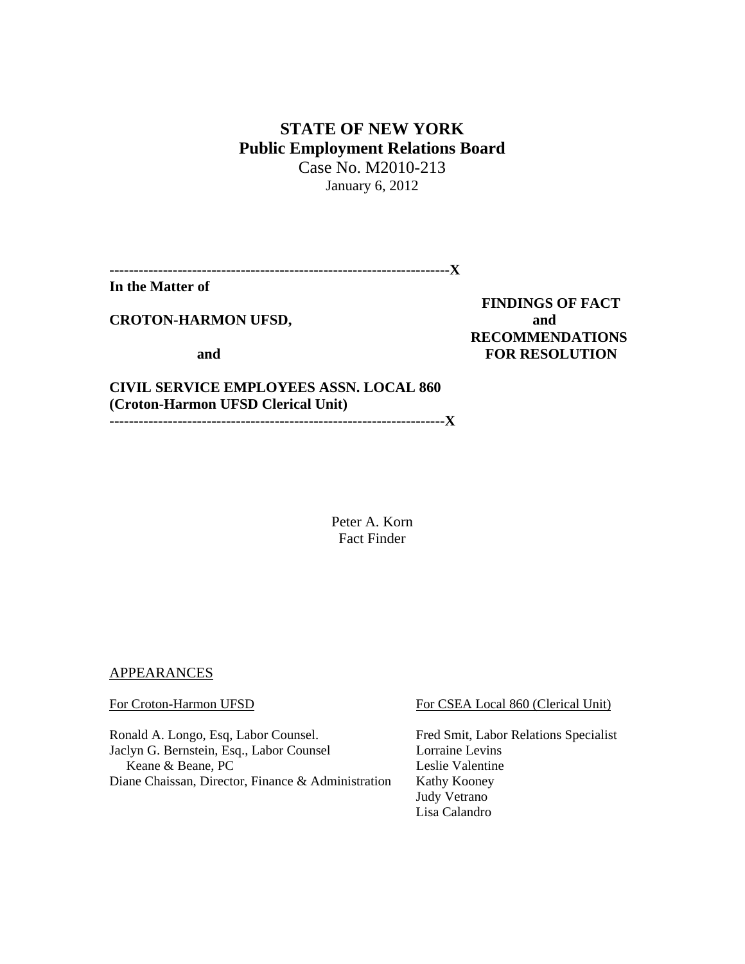# **STATE OF NEW YORK Public Employment Relations Board**  Case No. M2010-213

January 6, 2012

**----------------------------------------------------------------------X** 

**In the Matter of** 

**CROTON-HARMON UFSD, and** 

 **FINDINGS OF FACT RECOMMENDATIONS and FOR RESOLUTION** 

# **CIVIL SERVICE EMPLOYEES ASSN. LOCAL 860 (Croton-Harmon UFSD Clerical Unit)**

**---------------------------------------------------------------------X** 

Peter A. Korn Fact Finder

APPEARANCES

Ronald A. Longo, Esq, Labor Counsel. Fred Smit, Labor Relations Specialist Jaclyn G. Bernstein, Esq., Labor Counsel Lorraine Levins Keane & Beane, PC Leslie Valentine Diane Chaissan, Director, Finance & Administration Kathy Kooney

For Croton-Harmon UFSD For CSEA Local 860 (Clerical Unit)

 Judy Vetrano Lisa Calandro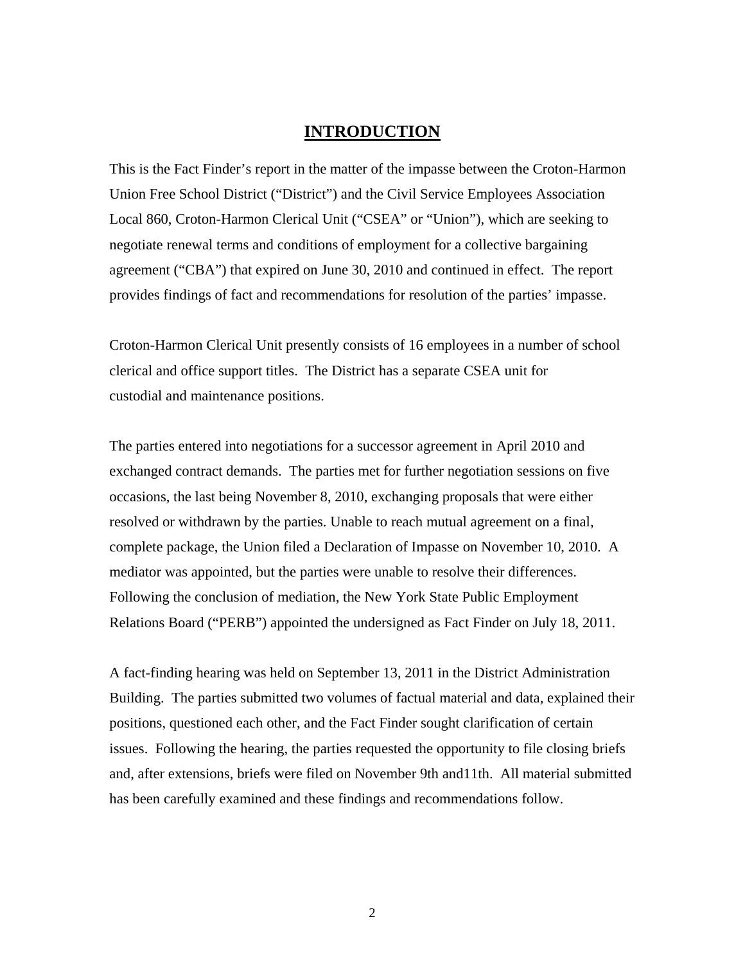# **INTRODUCTION**

This is the Fact Finder's report in the matter of the impasse between the Croton-Harmon Union Free School District ("District") and the Civil Service Employees Association Local 860, Croton-Harmon Clerical Unit ("CSEA" or "Union"), which are seeking to negotiate renewal terms and conditions of employment for a collective bargaining agreement ("CBA") that expired on June 30, 2010 and continued in effect. The report provides findings of fact and recommendations for resolution of the parties' impasse.

Croton-Harmon Clerical Unit presently consists of 16 employees in a number of school clerical and office support titles. The District has a separate CSEA unit for custodial and maintenance positions.

The parties entered into negotiations for a successor agreement in April 2010 and exchanged contract demands. The parties met for further negotiation sessions on five occasions, the last being November 8, 2010, exchanging proposals that were either resolved or withdrawn by the parties. Unable to reach mutual agreement on a final, complete package, the Union filed a Declaration of Impasse on November 10, 2010. A mediator was appointed, but the parties were unable to resolve their differences. Following the conclusion of mediation, the New York State Public Employment Relations Board ("PERB") appointed the undersigned as Fact Finder on July 18, 2011.

A fact-finding hearing was held on September 13, 2011 in the District Administration Building. The parties submitted two volumes of factual material and data, explained their positions, questioned each other, and the Fact Finder sought clarification of certain issues. Following the hearing, the parties requested the opportunity to file closing briefs and, after extensions, briefs were filed on November 9th and11th. All material submitted has been carefully examined and these findings and recommendations follow.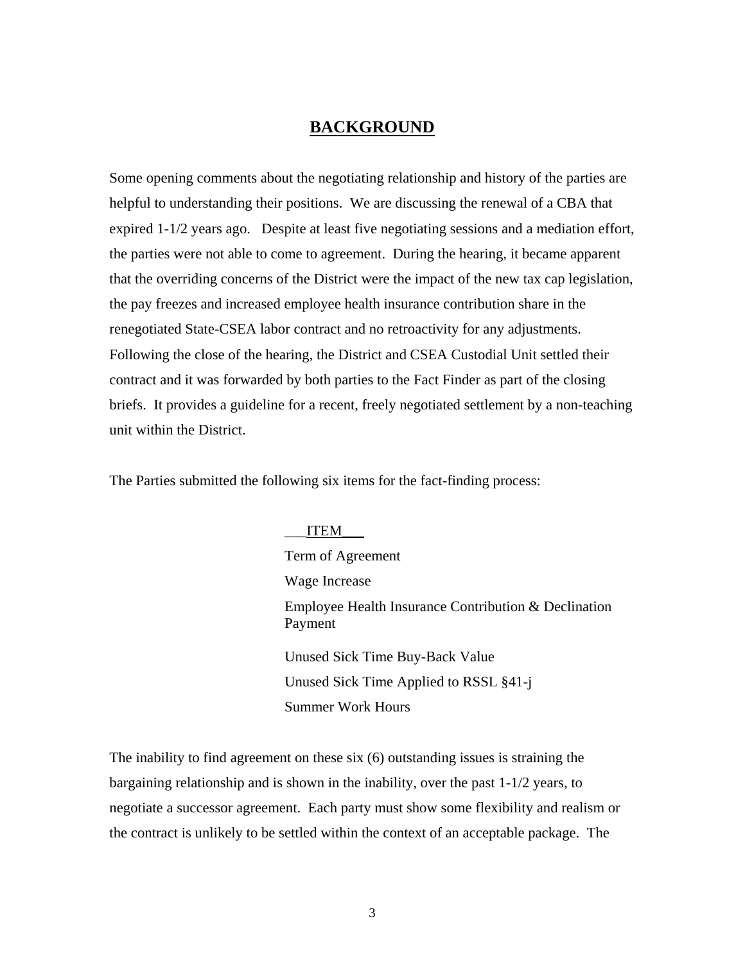# **BACKGROUND**

Some opening comments about the negotiating relationship and history of the parties are helpful to understanding their positions. We are discussing the renewal of a CBA that expired 1-1/2 years ago. Despite at least five negotiating sessions and a mediation effort, the parties were not able to come to agreement. During the hearing, it became apparent that the overriding concerns of the District were the impact of the new tax cap legislation, the pay freezes and increased employee health insurance contribution share in the renegotiated State-CSEA labor contract and no retroactivity for any adjustments. Following the close of the hearing, the District and CSEA Custodial Unit settled their contract and it was forwarded by both parties to the Fact Finder as part of the closing briefs. It provides a guideline for a recent, freely negotiated settlement by a non-teaching unit within the District.

The Parties submitted the following six items for the fact-finding process:

\_\_\_ITEM\_\_\_ Term of Agreement Wage Increase Employee Health Insurance Contribution & Declination Payment Unused Sick Time Buy-Back Value Unused Sick Time Applied to RSSL §41-j Summer Work Hours

The inability to find agreement on these six (6) outstanding issues is straining the bargaining relationship and is shown in the inability, over the past 1-1/2 years, to negotiate a successor agreement. Each party must show some flexibility and realism or the contract is unlikely to be settled within the context of an acceptable package. The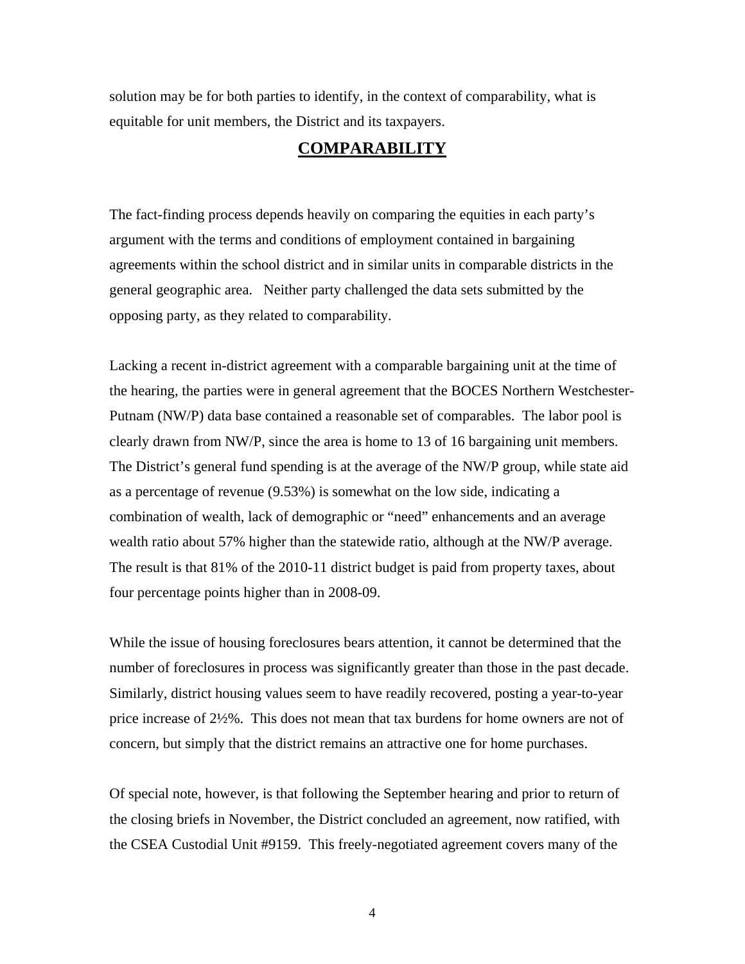solution may be for both parties to identify, in the context of comparability, what is equitable for unit members, the District and its taxpayers.

# **COMPARABILITY**

The fact-finding process depends heavily on comparing the equities in each party's argument with the terms and conditions of employment contained in bargaining agreements within the school district and in similar units in comparable districts in the general geographic area. Neither party challenged the data sets submitted by the opposing party, as they related to comparability.

Lacking a recent in-district agreement with a comparable bargaining unit at the time of the hearing, the parties were in general agreement that the BOCES Northern Westchester-Putnam (NW/P) data base contained a reasonable set of comparables. The labor pool is clearly drawn from NW/P, since the area is home to 13 of 16 bargaining unit members. The District's general fund spending is at the average of the NW/P group, while state aid as a percentage of revenue (9.53%) is somewhat on the low side, indicating a combination of wealth, lack of demographic or "need" enhancements and an average wealth ratio about 57% higher than the statewide ratio, although at the NW/P average. The result is that 81% of the 2010-11 district budget is paid from property taxes, about four percentage points higher than in 2008-09.

While the issue of housing foreclosures bears attention, it cannot be determined that the number of foreclosures in process was significantly greater than those in the past decade. Similarly, district housing values seem to have readily recovered, posting a year-to-year price increase of 2½%. This does not mean that tax burdens for home owners are not of concern, but simply that the district remains an attractive one for home purchases.

Of special note, however, is that following the September hearing and prior to return of the closing briefs in November, the District concluded an agreement, now ratified, with the CSEA Custodial Unit #9159. This freely-negotiated agreement covers many of the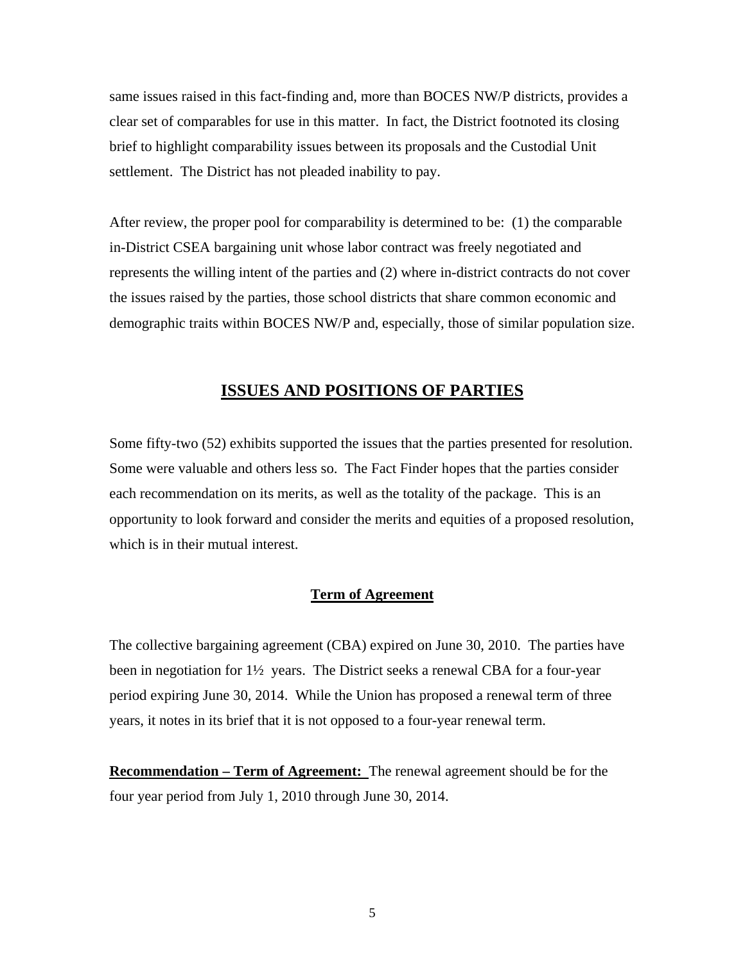same issues raised in this fact-finding and, more than BOCES NW/P districts, provides a clear set of comparables for use in this matter. In fact, the District footnoted its closing brief to highlight comparability issues between its proposals and the Custodial Unit settlement. The District has not pleaded inability to pay.

After review, the proper pool for comparability is determined to be: (1) the comparable in-District CSEA bargaining unit whose labor contract was freely negotiated and represents the willing intent of the parties and (2) where in-district contracts do not cover the issues raised by the parties, those school districts that share common economic and demographic traits within BOCES NW/P and, especially, those of similar population size.

### **ISSUES AND POSITIONS OF PARTIES**

Some fifty-two (52) exhibits supported the issues that the parties presented for resolution. Some were valuable and others less so. The Fact Finder hopes that the parties consider each recommendation on its merits, as well as the totality of the package. This is an opportunity to look forward and consider the merits and equities of a proposed resolution, which is in their mutual interest.

### **Term of Agreement**

The collective bargaining agreement (CBA) expired on June 30, 2010. The parties have been in negotiation for 1½ years. The District seeks a renewal CBA for a four-year period expiring June 30, 2014. While the Union has proposed a renewal term of three years, it notes in its brief that it is not opposed to a four-year renewal term.

**Recommendation – Term of Agreement:** The renewal agreement should be for the four year period from July 1, 2010 through June 30, 2014.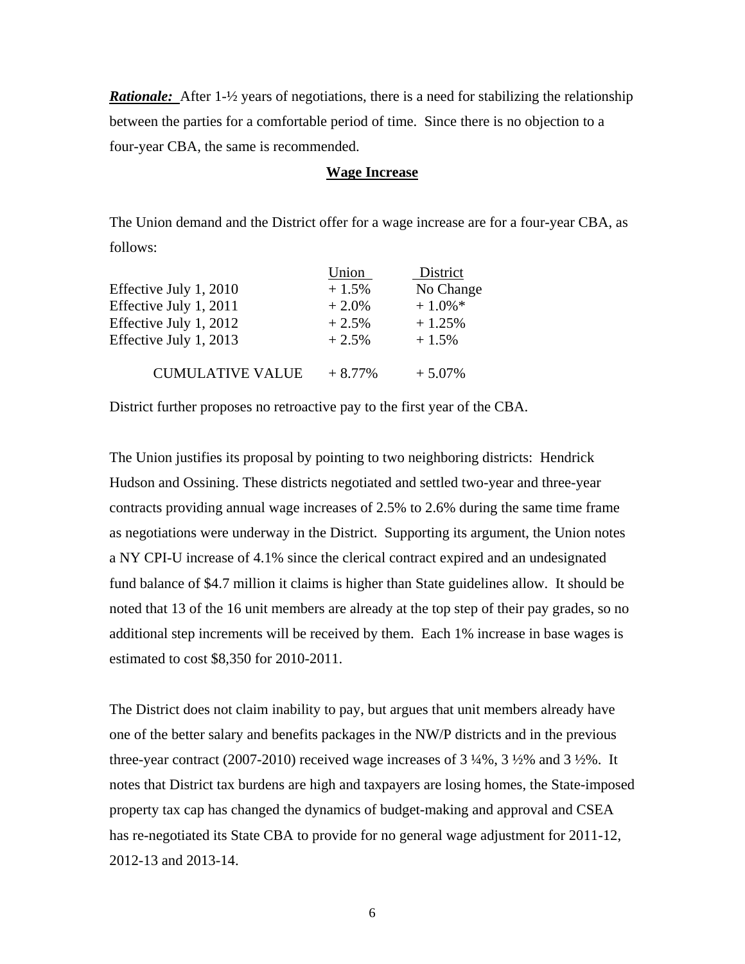*Rationale:* After 1-<sup>1</sup>/<sub>2</sub> years of negotiations, there is a need for stabilizing the relationship between the parties for a comfortable period of time. Since there is no objection to a four-year CBA, the same is recommended.

#### **Wage Increase**

The Union demand and the District offer for a wage increase are for a four-year CBA, as follows:

|                         | Union    | District   |
|-------------------------|----------|------------|
| Effective July 1, 2010  | $+1.5%$  | No Change  |
| Effective July 1, 2011  | $+2.0%$  | $+1.0\%$ * |
| Effective July 1, 2012  | $+2.5%$  | $+1.25%$   |
| Effective July 1, 2013  | $+2.5%$  | $+1.5%$    |
|                         |          |            |
| <b>CUMULATIVE VALUE</b> | $+8.77%$ | $+5.07%$   |

District further proposes no retroactive pay to the first year of the CBA.

The Union justifies its proposal by pointing to two neighboring districts: Hendrick Hudson and Ossining. These districts negotiated and settled two-year and three-year contracts providing annual wage increases of 2.5% to 2.6% during the same time frame as negotiations were underway in the District. Supporting its argument, the Union notes a NY CPI-U increase of 4.1% since the clerical contract expired and an undesignated fund balance of \$4.7 million it claims is higher than State guidelines allow. It should be noted that 13 of the 16 unit members are already at the top step of their pay grades, so no additional step increments will be received by them. Each 1% increase in base wages is estimated to cost \$8,350 for 2010-2011.

The District does not claim inability to pay, but argues that unit members already have one of the better salary and benefits packages in the NW/P districts and in the previous three-year contract (2007-2010) received wage increases of  $3\frac{1}{4}\%$ ,  $3\frac{1}{2}\%$  and  $3\frac{1}{2}\%$ . It notes that District tax burdens are high and taxpayers are losing homes, the State-imposed property tax cap has changed the dynamics of budget-making and approval and CSEA has re-negotiated its State CBA to provide for no general wage adjustment for 2011-12, 2012-13 and 2013-14.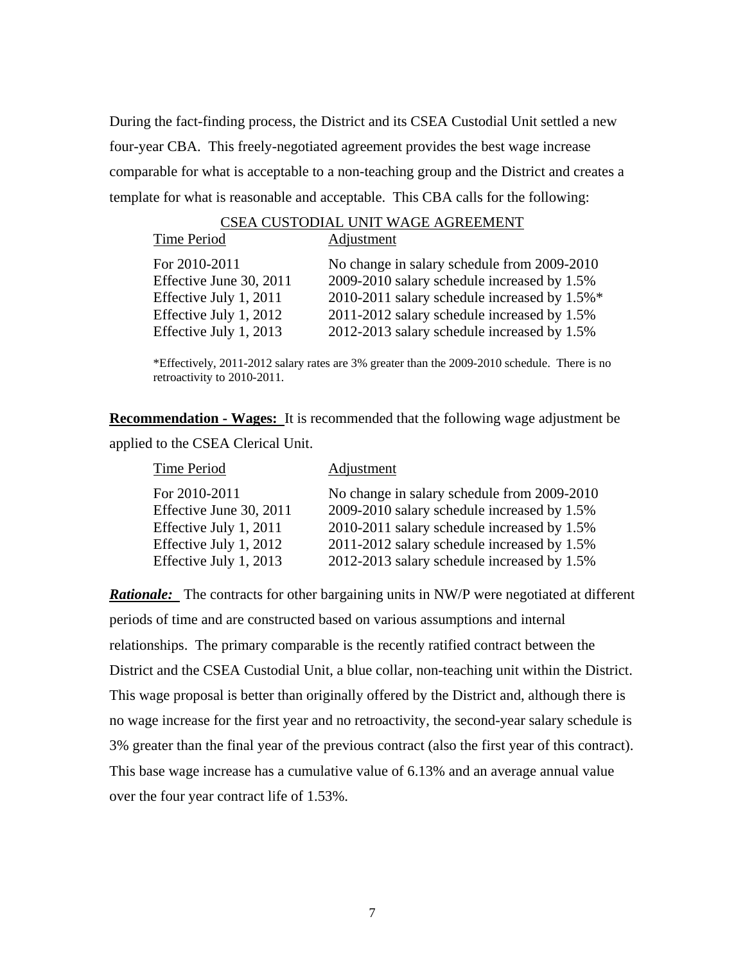During the fact-finding process, the District and its CSEA Custodial Unit settled a new four-year CBA. This freely-negotiated agreement provides the best wage increase comparable for what is acceptable to a non-teaching group and the District and creates a template for what is reasonable and acceptable. This CBA calls for the following:

| CSEA CUSTODIAL UNIT WAGE AGREEMENT |                                              |  |
|------------------------------------|----------------------------------------------|--|
| Time Period                        | Adjustment                                   |  |
| For 2010-2011                      | No change in salary schedule from 2009-2010  |  |
| Effective June 30, 2011            | 2009-2010 salary schedule increased by 1.5%  |  |
| Effective July 1, 2011             | 2010-2011 salary schedule increased by 1.5%* |  |
| Effective July 1, 2012             | 2011-2012 salary schedule increased by 1.5%  |  |
| Effective July 1, 2013             | 2012-2013 salary schedule increased by 1.5%  |  |

\*Effectively, 2011-2012 salary rates are 3% greater than the 2009-2010 schedule. There is no retroactivity to 2010-2011.

**Recommendation - Wages:** It is recommended that the following wage adjustment be applied to the CSEA Clerical Unit.

| Time Period             | Adjustment                                  |
|-------------------------|---------------------------------------------|
| For 2010-2011           | No change in salary schedule from 2009-2010 |
| Effective June 30, 2011 | 2009-2010 salary schedule increased by 1.5% |
| Effective July 1, 2011  | 2010-2011 salary schedule increased by 1.5% |
| Effective July 1, 2012  | 2011-2012 salary schedule increased by 1.5% |
| Effective July 1, 2013  | 2012-2013 salary schedule increased by 1.5% |

*Rationale:* The contracts for other bargaining units in NW/P were negotiated at different periods of time and are constructed based on various assumptions and internal relationships. The primary comparable is the recently ratified contract between the District and the CSEA Custodial Unit, a blue collar, non-teaching unit within the District. This wage proposal is better than originally offered by the District and, although there is no wage increase for the first year and no retroactivity, the second-year salary schedule is 3% greater than the final year of the previous contract (also the first year of this contract). This base wage increase has a cumulative value of 6.13% and an average annual value over the four year contract life of 1.53%.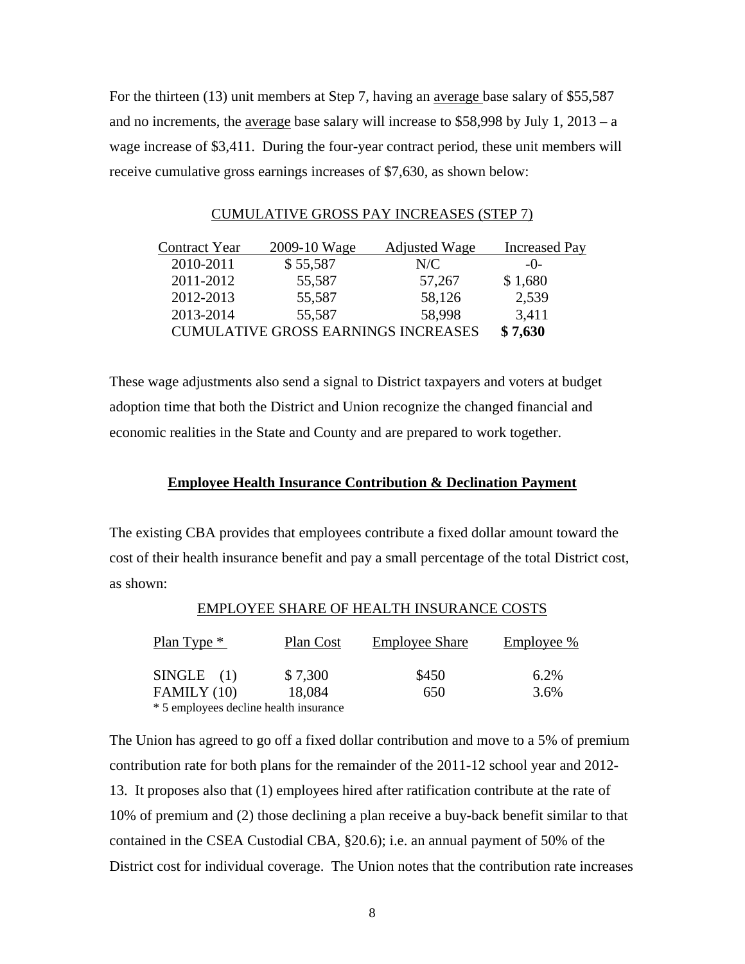For the thirteen (13) unit members at Step 7, having an average base salary of \$55,587 and no increments, the average base salary will increase to \$58,998 by July 1, 2013 – a wage increase of \$3,411. During the four-year contract period, these unit members will receive cumulative gross earnings increases of \$7,630, as shown below:

### CUMULATIVE GROSS PAY INCREASES (STEP 7)

| Contract Year | 2009-10 Wage                               | <b>Adjusted Wage</b> | <b>Increased Pay</b> |
|---------------|--------------------------------------------|----------------------|----------------------|
| 2010-2011     | \$55,587                                   | N/C                  | $-()$                |
| 2011-2012     | 55,587                                     | 57,267               | \$1,680              |
| 2012-2013     | 55,587                                     | 58,126               | 2,539                |
| 2013-2014     | 55,587                                     | 58,998               | 3,411                |
|               | <b>CUMULATIVE GROSS EARNINGS INCREASES</b> |                      | \$7,630              |

These wage adjustments also send a signal to District taxpayers and voters at budget adoption time that both the District and Union recognize the changed financial and economic realities in the State and County and are prepared to work together.

#### **Employee Health Insurance Contribution & Declination Payment**

The existing CBA provides that employees contribute a fixed dollar amount toward the cost of their health insurance benefit and pay a small percentage of the total District cost, as shown:

#### EMPLOYEE SHARE OF HEALTH INSURANCE COSTS

| Plan Type $*$                          | Plan Cost | <b>Employee Share</b> | Employee % |
|----------------------------------------|-----------|-----------------------|------------|
| $SINGLE$ (1)                           | \$7,300   | \$450                 | 6.2%       |
| FAMILY (10)                            | 18,084    | 650                   | 3.6%       |
| * 5 employees decline health insurance |           |                       |            |

The Union has agreed to go off a fixed dollar contribution and move to a 5% of premium contribution rate for both plans for the remainder of the 2011-12 school year and 2012- 13. It proposes also that (1) employees hired after ratification contribute at the rate of 10% of premium and (2) those declining a plan receive a buy-back benefit similar to that contained in the CSEA Custodial CBA, §20.6); i.e. an annual payment of 50% of the District cost for individual coverage. The Union notes that the contribution rate increases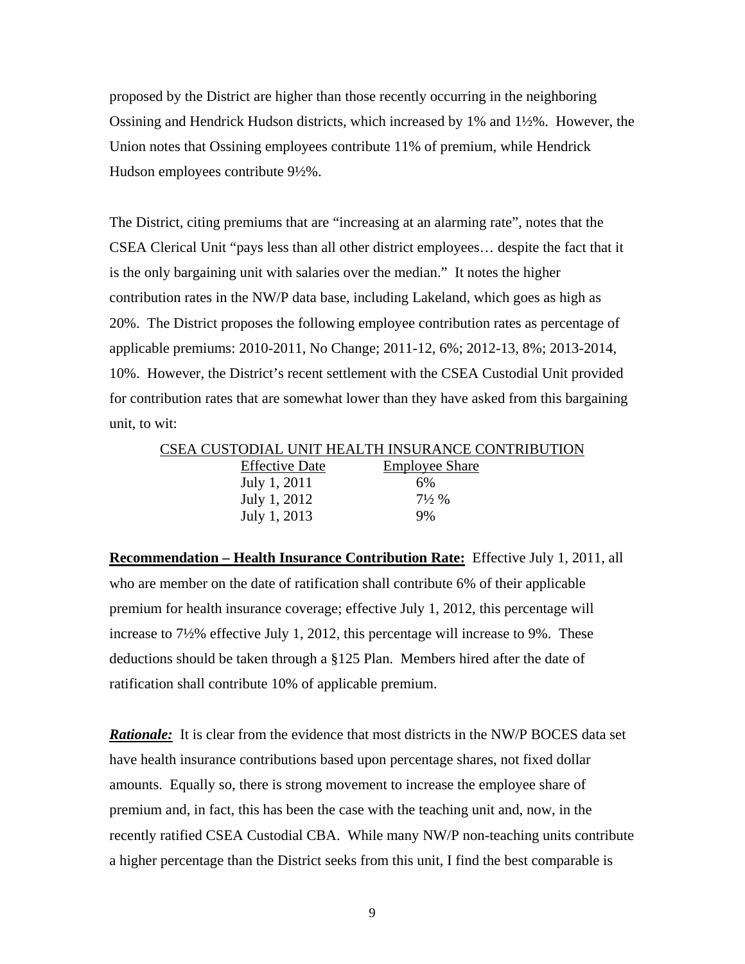proposed by the District are higher than those recently occurring in the neighboring Ossining and Hendrick Hudson districts, which increased by 1% and 1½%. However, the Union notes that Ossining employees contribute 11% of premium, while Hendrick Hudson employees contribute 9½%.

The District, citing premiums that are "increasing at an alarming rate", notes that the CSEA Clerical Unit "pays less than all other district employees… despite the fact that it is the only bargaining unit with salaries over the median." It notes the higher contribution rates in the NW/P data base, including Lakeland, which goes as high as 20%. The District proposes the following employee contribution rates as percentage of applicable premiums: 2010-2011, No Change; 2011-12, 6%; 2012-13, 8%; 2013-2014, 10%. However, the District's recent settlement with the CSEA Custodial Unit provided for contribution rates that are somewhat lower than they have asked from this bargaining unit, to wit:

|                       | CSEA CUSTODIAL UNIT HEALTH INSURANCE CONTRIBUTION |
|-----------------------|---------------------------------------------------|
| <b>Effective Date</b> | <b>Employee Share</b>                             |
| July 1, 2011          | 6%                                                |
| July 1, 2012          | $7\frac{1}{2}$ %                                  |
| July 1, 2013          | 9%                                                |
|                       |                                                   |

**Recommendation – Health Insurance Contribution Rate:** Effective July 1, 2011, all who are member on the date of ratification shall contribute 6% of their applicable premium for health insurance coverage; effective July 1, 2012, this percentage will increase to 7½% effective July 1, 2012, this percentage will increase to 9%. These deductions should be taken through a §125 Plan. Members hired after the date of ratification shall contribute 10% of applicable premium.

*Rationale:* It is clear from the evidence that most districts in the NW/P BOCES data set have health insurance contributions based upon percentage shares, not fixed dollar amounts. Equally so, there is strong movement to increase the employee share of premium and, in fact, this has been the case with the teaching unit and, now, in the recently ratified CSEA Custodial CBA. While many NW/P non-teaching units contribute a higher percentage than the District seeks from this unit, I find the best comparable is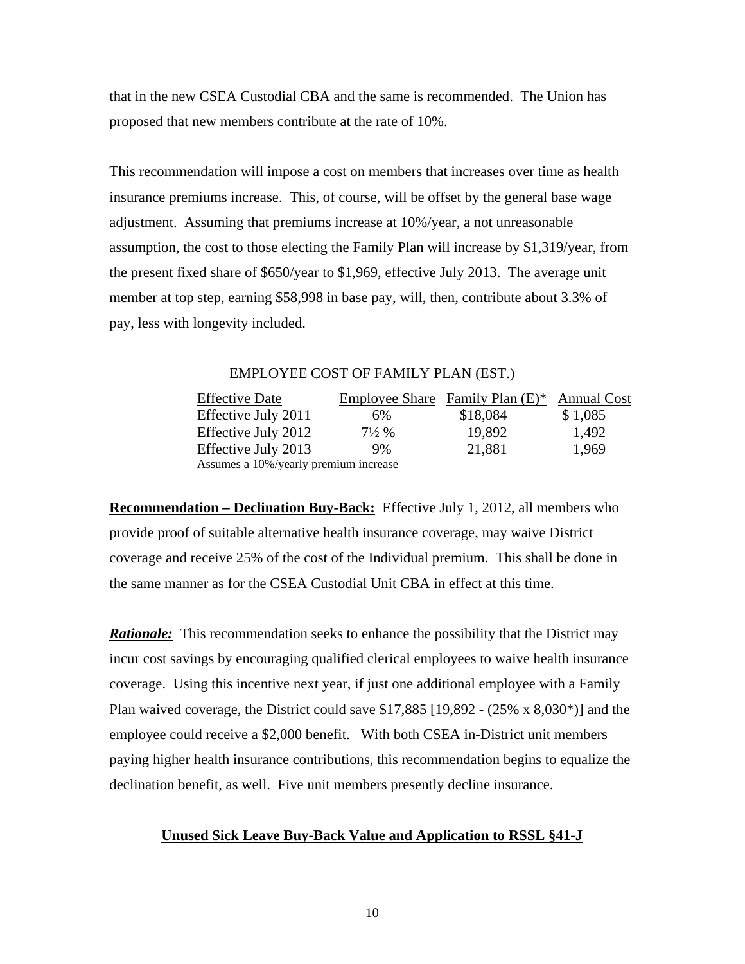that in the new CSEA Custodial CBA and the same is recommended. The Union has proposed that new members contribute at the rate of 10%.

This recommendation will impose a cost on members that increases over time as health insurance premiums increase. This, of course, will be offset by the general base wage adjustment. Assuming that premiums increase at 10%/year, a not unreasonable assumption, the cost to those electing the Family Plan will increase by \$1,319/year, from the present fixed share of \$650/year to \$1,969, effective July 2013. The average unit member at top step, earning \$58,998 in base pay, will, then, contribute about 3.3% of pay, less with longevity included.

EMPLOYEE COST OF FAMILY PLAN (EST.)

| <b>Effective Date</b>                 |                  | Employee Share Family Plan $(E)^*$ Annual Cost |         |
|---------------------------------------|------------------|------------------------------------------------|---------|
| Effective July 2011                   | 6%               | \$18,084                                       | \$1,085 |
| Effective July 2012                   | $7\frac{1}{2}$ % | 19,892                                         | 1,492   |
| Effective July 2013                   | 9%               | 21,881                                         | 1,969   |
| Assumes a 10%/yearly premium increase |                  |                                                |         |

**Recommendation – Declination Buy-Back:** Effective July 1, 2012, all members who provide proof of suitable alternative health insurance coverage, may waive District coverage and receive 25% of the cost of the Individual premium. This shall be done in the same manner as for the CSEA Custodial Unit CBA in effect at this time.

*Rationale:* This recommendation seeks to enhance the possibility that the District may incur cost savings by encouraging qualified clerical employees to waive health insurance coverage. Using this incentive next year, if just one additional employee with a Family Plan waived coverage, the District could save  $$17,885$  [19,892 - (25% x 8,030\*)] and the employee could receive a \$2,000 benefit. With both CSEA in-District unit members paying higher health insurance contributions, this recommendation begins to equalize the declination benefit, as well. Five unit members presently decline insurance.

#### **Unused Sick Leave Buy-Back Value and Application to RSSL §41-J**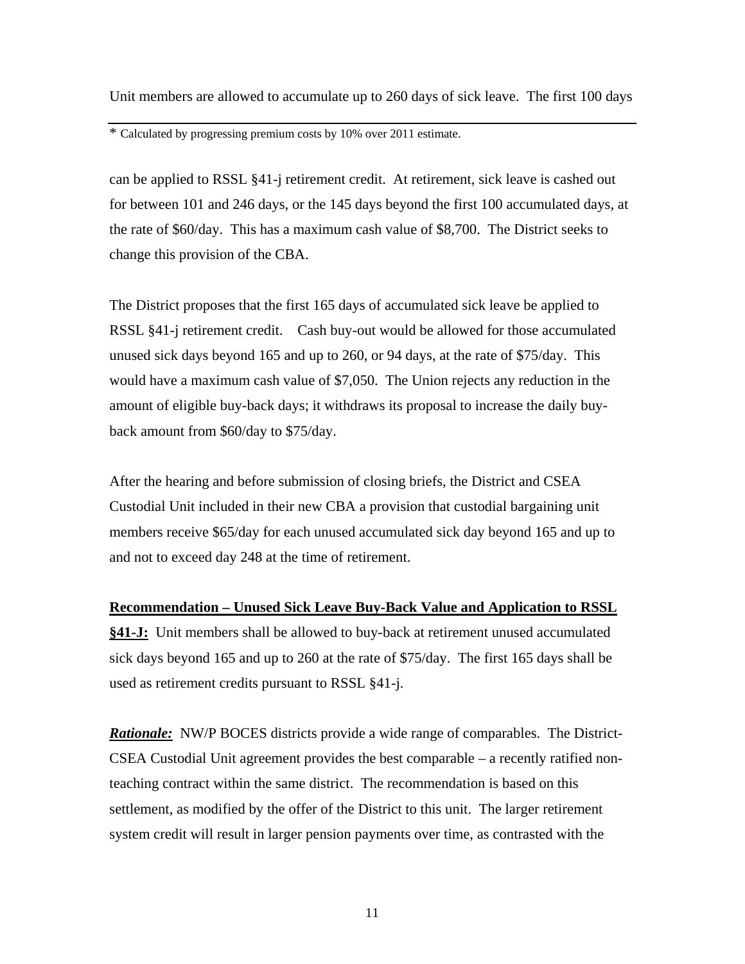Unit members are allowed to accumulate up to 260 days of sick leave. The first 100 days

\* Calculated by progressing premium costs by 10% over 2011 estimate.

can be applied to RSSL §41-j retirement credit. At retirement, sick leave is cashed out for between 101 and 246 days, or the 145 days beyond the first 100 accumulated days, at the rate of \$60/day. This has a maximum cash value of \$8,700. The District seeks to change this provision of the CBA.

The District proposes that the first 165 days of accumulated sick leave be applied to RSSL §41-j retirement credit. Cash buy-out would be allowed for those accumulated unused sick days beyond 165 and up to 260, or 94 days, at the rate of \$75/day. This would have a maximum cash value of \$7,050. The Union rejects any reduction in the amount of eligible buy-back days; it withdraws its proposal to increase the daily buyback amount from \$60/day to \$75/day.

After the hearing and before submission of closing briefs, the District and CSEA Custodial Unit included in their new CBA a provision that custodial bargaining unit members receive \$65/day for each unused accumulated sick day beyond 165 and up to and not to exceed day 248 at the time of retirement.

## **Recommendation – Unused Sick Leave Buy-Back Value and Application to RSSL**

**§41-J:** Unit members shall be allowed to buy-back at retirement unused accumulated sick days beyond 165 and up to 260 at the rate of \$75/day. The first 165 days shall be used as retirement credits pursuant to RSSL §41-j.

*Rationale:* NW/P BOCES districts provide a wide range of comparables. The District-CSEA Custodial Unit agreement provides the best comparable – a recently ratified nonteaching contract within the same district. The recommendation is based on this settlement, as modified by the offer of the District to this unit. The larger retirement system credit will result in larger pension payments over time, as contrasted with the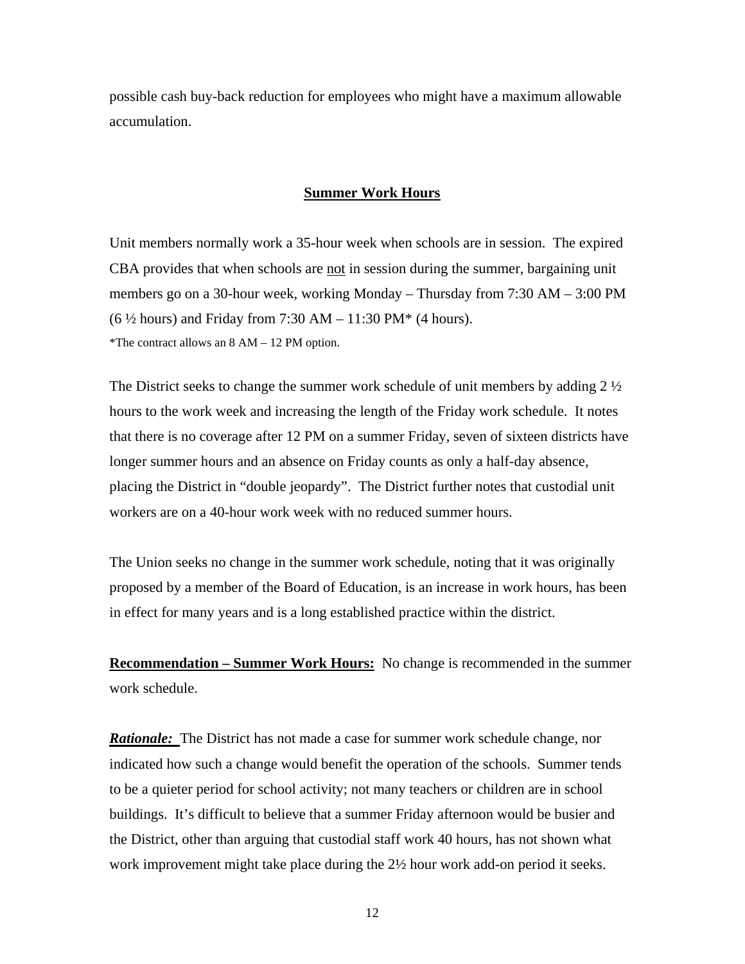possible cash buy-back reduction for employees who might have a maximum allowable accumulation.

### **Summer Work Hours**

Unit members normally work a 35-hour week when schools are in session. The expired CBA provides that when schools are not in session during the summer, bargaining unit members go on a 30-hour week, working Monday – Thursday from 7:30 AM – 3:00 PM  $(6 \frac{1}{2} \text{ hours})$  and Friday from 7:30 AM – 11:30 PM\* (4 hours). \*The contract allows an 8 AM – 12 PM option.

The District seeks to change the summer work schedule of unit members by adding  $2\frac{1}{2}$ hours to the work week and increasing the length of the Friday work schedule. It notes that there is no coverage after 12 PM on a summer Friday, seven of sixteen districts have longer summer hours and an absence on Friday counts as only a half-day absence, placing the District in "double jeopardy". The District further notes that custodial unit workers are on a 40-hour work week with no reduced summer hours.

The Union seeks no change in the summer work schedule, noting that it was originally proposed by a member of the Board of Education, is an increase in work hours, has been in effect for many years and is a long established practice within the district.

**Recommendation – Summer Work Hours:** No change is recommended in the summer work schedule.

*Rationale:* The District has not made a case for summer work schedule change, nor indicated how such a change would benefit the operation of the schools. Summer tends to be a quieter period for school activity; not many teachers or children are in school buildings. It's difficult to believe that a summer Friday afternoon would be busier and the District, other than arguing that custodial staff work 40 hours, has not shown what work improvement might take place during the 2½ hour work add-on period it seeks.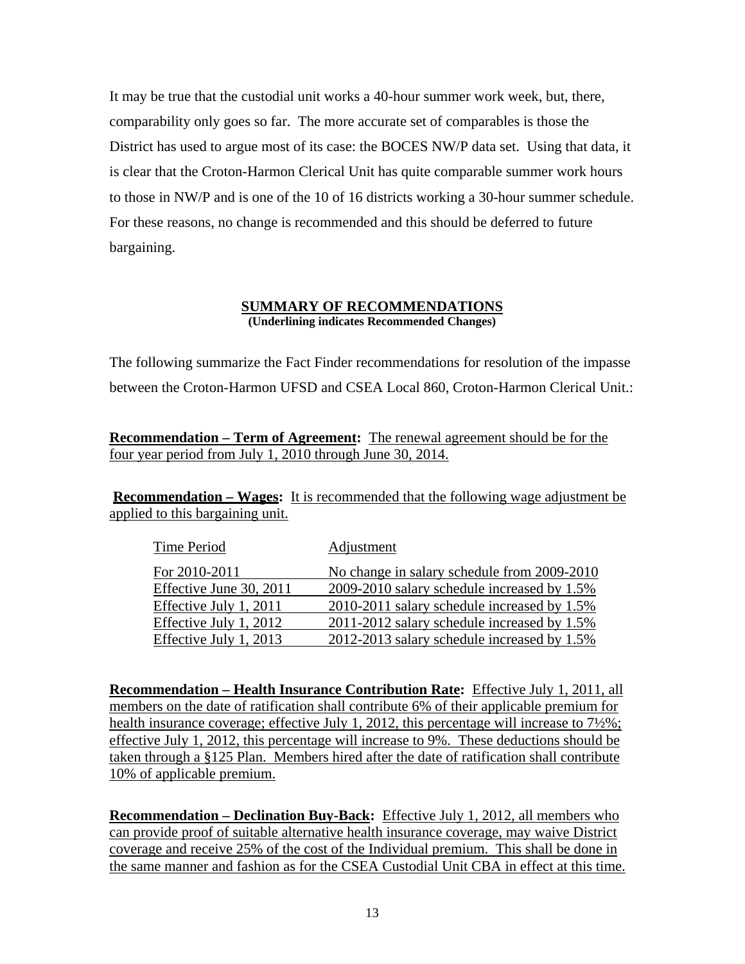It may be true that the custodial unit works a 40-hour summer work week, but, there, comparability only goes so far. The more accurate set of comparables is those the District has used to argue most of its case: the BOCES NW/P data set. Using that data, it is clear that the Croton-Harmon Clerical Unit has quite comparable summer work hours to those in NW/P and is one of the 10 of 16 districts working a 30-hour summer schedule. For these reasons, no change is recommended and this should be deferred to future bargaining.

### **SUMMARY OF RECOMMENDATIONS (Underlining indicates Recommended Changes)**

The following summarize the Fact Finder recommendations for resolution of the impasse between the Croton-Harmon UFSD and CSEA Local 860, Croton-Harmon Clerical Unit.:

**Recommendation – Term of Agreement:** The renewal agreement should be for the four year period from July 1, 2010 through June 30, 2014.

**Recommendation – Wages:** It is recommended that the following wage adjustment be applied to this bargaining unit.

| Time Period             | <b>Adjustment</b>                           |
|-------------------------|---------------------------------------------|
| For 2010-2011           | No change in salary schedule from 2009-2010 |
| Effective June 30, 2011 | 2009-2010 salary schedule increased by 1.5% |
| Effective July 1, 2011  | 2010-2011 salary schedule increased by 1.5% |
| Effective July 1, 2012  | 2011-2012 salary schedule increased by 1.5% |
| Effective July 1, 2013  | 2012-2013 salary schedule increased by 1.5% |

**Recommendation – Health Insurance Contribution Rate:** Effective July 1, 2011, all members on the date of ratification shall contribute 6% of their applicable premium for health insurance coverage; effective July 1, 2012, this percentage will increase to 7½%; effective July 1, 2012, this percentage will increase to 9%. These deductions should be taken through a §125 Plan. Members hired after the date of ratification shall contribute 10% of applicable premium.

**Recommendation – Declination Buy-Back:** Effective July 1, 2012, all members who can provide proof of suitable alternative health insurance coverage, may waive District coverage and receive 25% of the cost of the Individual premium. This shall be done in the same manner and fashion as for the CSEA Custodial Unit CBA in effect at this time.